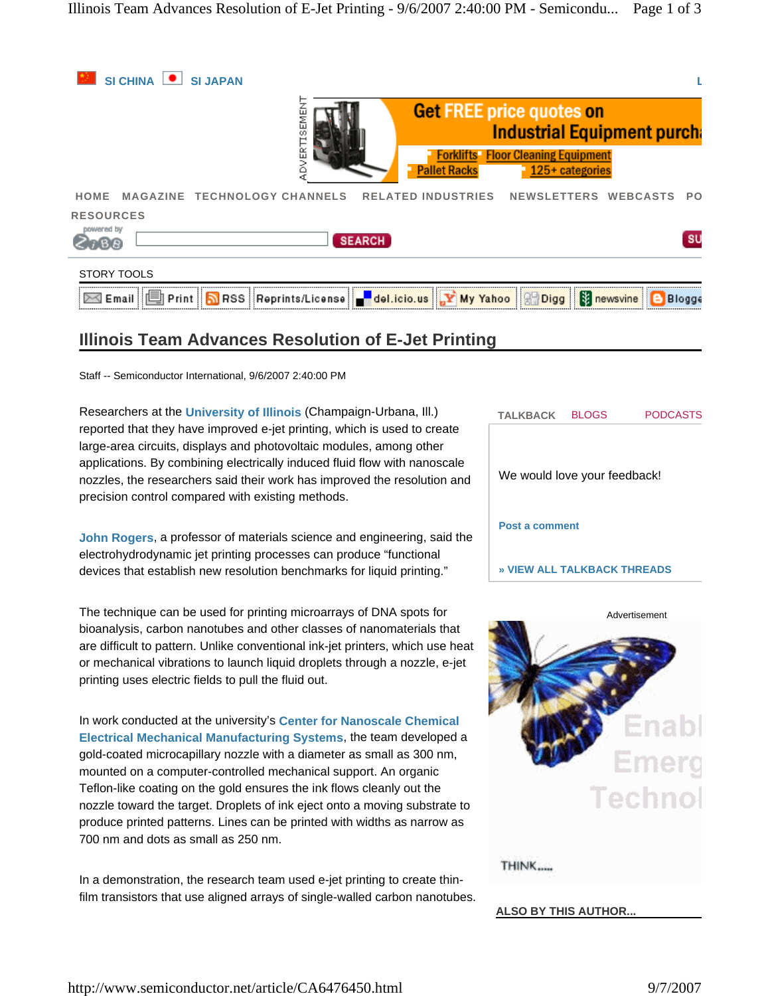

# **Illinois Team Advances Resolution of E-Jet Printing**

Staff -- Semiconductor International, 9/6/2007 2:40:00 PM

Researchers at the **University of Illinois** (Champaign-Urbana, Ill.) reported that they have improved e-jet printing, which is used to create large-area circuits, displays and photovoltaic modules, among other applications. By combining electrically induced fluid flow with nanoscale nozzles, the researchers said their work has improved the resolution and precision control compared with existing methods.

**John Rogers**, a professor of materials science and engineering, said the electrohydrodynamic jet printing processes can produce "functional devices that establish new resolution benchmarks for liquid printing."

The technique can be used for printing microarrays of DNA spots for bioanalysis, carbon nanotubes and other classes of nanomaterials that are difficult to pattern. Unlike conventional ink-jet printers, which use heat or mechanical vibrations to launch liquid droplets through a nozzle, e-jet printing uses electric fields to pull the fluid out.

In work conducted at the university's **Center for Nanoscale Chemical Electrical Mechanical Manufacturing Systems**, the team developed a gold-coated microcapillary nozzle with a diameter as small as 300 nm, mounted on a computer-controlled mechanical support. An organic Teflon-like coating on the gold ensures the ink flows cleanly out the nozzle toward the target. Droplets of ink eject onto a moving substrate to produce printed patterns. Lines can be printed with widths as narrow as 700 nm and dots as small as 250 nm.

In a demonstration, the research team used e-jet printing to create thinfilm transistors that use aligned arrays of single-walled carbon nanotubes. **TALKBACK** BLOGS PODCASTS We would love your feedback! **Post a comment » VIEW ALL TALKBACK THREADS**

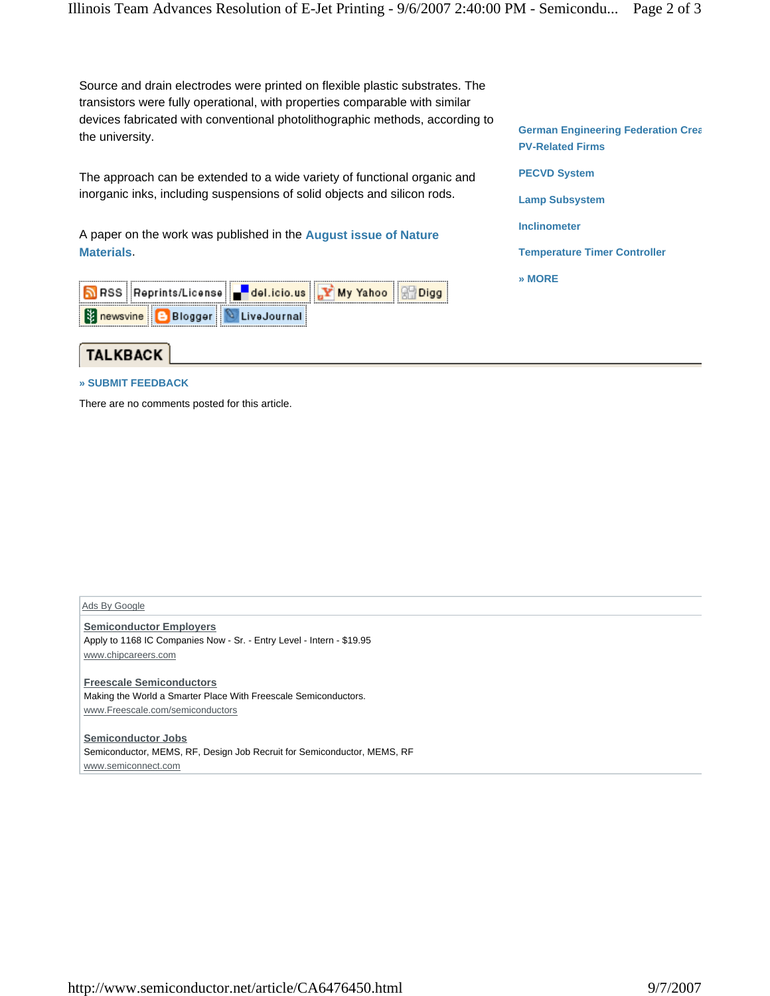Source and drain electrodes were printed on flexible plastic substrates. The transistors were fully operational, with properties comparable with similar devices fabricated with conventional photolithographic methods, according to the university.

The approach can be extended to a wide variety of functional organic and inorganic inks, including suspensions of solid objects and silicon rods.

A paper on the work was published in the **August issue of Nature Materials**.

| RSS Reprints/License del.icio.us Y My Yahoo Q Digg |  |  |
|----------------------------------------------------|--|--|
| <b>B</b> newsvine <b>B</b> Blogger LiveJournal     |  |  |



## **» SUBMIT FEEDBACK**

There are no comments posted for this article.

Ads By Google

**Semiconductor Employers** Apply to 1168 IC Companies Now - Sr. - Entry Level - Intern - \$19.95 www.chipcareers.com

**Freescale Semiconductors** Making the World a Smarter Place With Freescale Semiconductors. www.Freescale.com/semiconductors

**Semiconductor Jobs** Semiconductor, MEMS, RF, Design Job Recruit for Semiconductor, MEMS, RF www.semiconnect.com

**German Engineering Federation Crea PV-Related Firms PECVD System Lamp Subsystem Inclinometer Temperature Timer Controller » MORE**